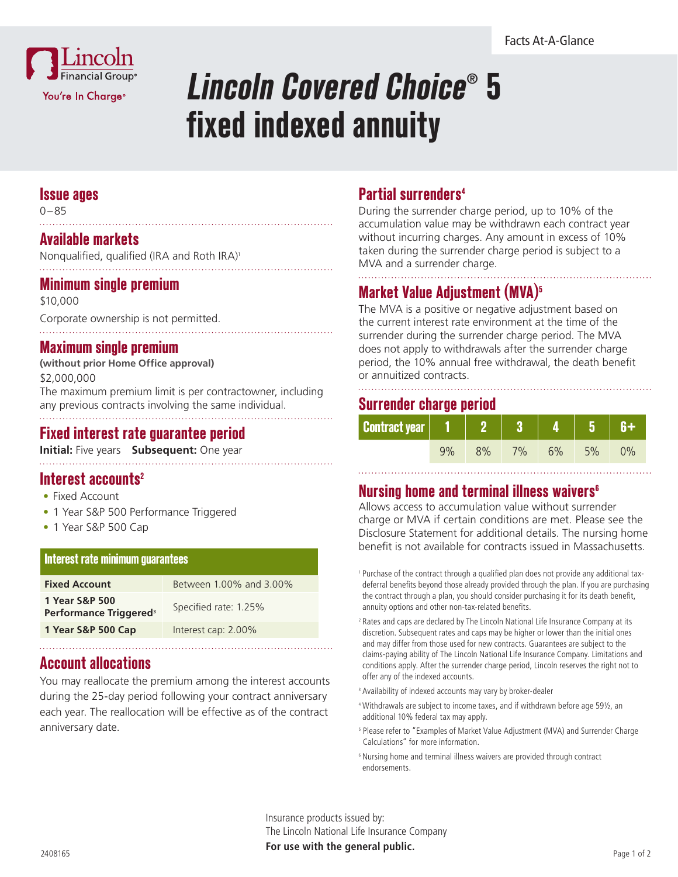

# **Lincoln Covered Choice**®  **5 fixed indexed annuity**

#### **Issue ages**

0–85

## **Available markets**

Nonqualified, qualified (IRA and Roth IRA)<sup>1</sup> 

## **Minimum single premium**

\$10,000

Corporate ownership is not permitted.

#### **Maximum single premium**

**(without prior Home Office approval)** \$2,000,000 The maximum premium limit is per contractowner, including any previous contracts involving the same individual.

## **Fixed interest rate guarantee period**

**Initial:** Five years **Subsequent:** One year

## **Interest accounts<sup>2</sup>**

- Fixed Account
- 1 Year S&P 500 Performance Triggered
- 1 Year S&P 500 Cap

#### **Interest rate minimum guarantees**

| <b>Fixed Account</b>                                 | Between 1,00% and 3,00% |
|------------------------------------------------------|-------------------------|
| 1 Year S&P 500<br>Performance Triggered <sup>3</sup> | Specified rate: 1.25%   |
| 1 Year S&P 500 Cap                                   | Interest cap: 2.00%     |
|                                                      |                         |

## **Account allocations**

You may reallocate the premium among the interest accounts during the 25-day period following your contract anniversary each year. The reallocation will be effective as of the contract anniversary date.

## **Partial surrenders4**

During the surrender charge period, up to 10% of the accumulation value may be withdrawn each contract year without incurring charges. Any amount in excess of 10% taken during the surrender charge period is subject to a MVA and a surrender charge.

# **Market Value Adjustment (MVA)5**

The MVA is a positive or negative adjustment based on the current interest rate environment at the time of the surrender during the surrender charge period. The MVA does not apply to withdrawals after the surrender charge period, the 10% annual free withdrawal, the death benefit or annuitized contracts.

## **Surrender charge period**

| <b>Contract year</b>   1 |    |       |    | ۰Б |  |
|--------------------------|----|-------|----|----|--|
|                          | 8% | $7\%$ | 6% | 5% |  |

## **Nursing home and terminal illness waivers6**

Allows access to accumulation value without surrender charge or MVA if certain conditions are met. Please see the Disclosure Statement for additional details. The nursing home benefit is not available for contracts issued in Massachusetts.

<sup>1</sup> Purchase of the contract through a qualified plan does not provide any additional taxdeferral benefits beyond those already provided through the plan. If you are purchasing the contract through a plan, you should consider purchasing it for its death benefit, annuity options and other non-tax-related benefits.

<sup>2</sup> Rates and caps are declared by The Lincoln National Life Insurance Company at its discretion. Subsequent rates and caps may be higher or lower than the initial ones and may differ from those used for new contracts. Guarantees are subject to the claims-paying ability of The Lincoln National Life Insurance Company. Limitations and conditions apply. After the surrender charge period, Lincoln reserves the right not to offer any of the indexed accounts.

- <sup>3</sup> Availability of indexed accounts may vary by broker-dealer
- <sup>4</sup> Withdrawals are subject to income taxes, and if withdrawn before age 59½, an additional 10% federal tax may apply.
- <sup>5</sup> Please refer to "Examples of Market Value Adjustment (MVA) and Surrender Charge Calculations" for more information.
- <sup>6</sup> Nursing home and terminal illness waivers are provided through contract endorsements.

Insurance products issued by: The Lincoln National Life Insurance Company **For use with the general public.** <sup>2408165</sup>